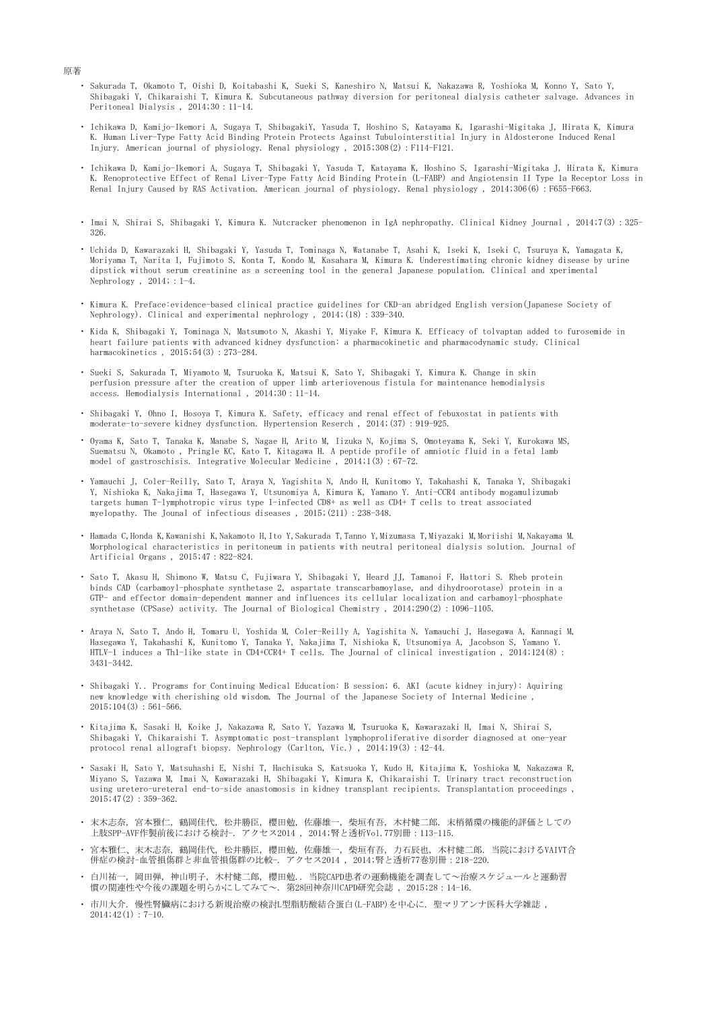- ・ Sakurada T, Okamoto T, Oishi D, Koitabashi K, Sueki S, Kaneshiro N, Matsui K, Nakazawa R, Yoshioka M, Konno Y, Sato Y, Shibagaki Y, Chikaraishi T, Kimura K. Subcutaneous pathway diversion for peritoneal dialysis catheter salvage. Advances in Peritoneal Dialysis , 2014;30:11-14.
- ・ Ichikawa D, Kamijo-Ikemori A, Sugaya T, ShibagakiY, Yasuda T, Hoshino S, Katayama K, Igarashi-Migitaka J, Hirata K, Kimura K. Human Liver-Type Fatty Acid Binding Protein Protects Against Tubulointerstitial Injury in Aldosterone Induced Renal Injury. American journal of physiology. Renal physiology , 2015;308(2):F114-F121.
- ・ Ichikawa D, Kamijo-Ikemori A, Sugaya T, Shibagaki Y, Yasuda T, Katayama K, Hoshino S, Igarashi-Migitaka J, Hirata K, Kimura K. Renoprotective Effect of Renal Liver-Type Fatty Acid Binding Protein (L-FABP) and Angiotensin II Type 1a Receptor Loss in Renal Injury Caused by RAS Activation. American journal of physiology. Renal physiology, 2014;306(6): F655-F663.
- ・ Imai N, Shirai S, Shibagaki Y, Kimura K. Nutcracker phenomenon in IgA nephropathy. Clinical Kidney Journal , 2014;7(3):325- 326.
- ・ Uchida D, Kawarazaki H, Shibagaki Y, Yasuda T, Tominaga N, Watanabe T, Asahi K, Iseki K, Iseki C, Tsuruya K, Yamagata K, Moriyama T, Narita I, Fujimoto S, Konta T, Kondo M, Kasahara M, Kimura K. Underestimating chronic kidney disease by urine dipstick without serum creatinine as a screening tool in the general Japanese population. Clinical and xperimental Nephrology , 2014; : 1-4.
- ・ Kimura K. Preface:evidence-based clinical practice guidelines for CKD-an abridged English version(Japanese Society of Nephrology). Clinical and experimental nephrology , 2014;(18):339-340.
- ・ Kida K, Shibagaki Y, Tominaga N, Matsumoto N, Akashi Y, Miyake F, Kimura K. Efficacy of tolvaptan added to furosemide in heart failure patients with advanced kidney dysfunction: a pharmacokinetic and pharmacodynamic study. Clinical harmacokinetics, 2015;54(3): 273-284.
- ・ Sueki S, Sakurada T, Miyamoto M, Tsuruoka K, Matsui K, Sato Y, Shibagaki Y, Kimura K. Change in skin perfusion pressure after the creation of upper limb arteriovenous fistula for maintenance hemodialysis access. Hemodialysis International , 2014;30:11-14.
- ・ Shibagaki Y, Ohno I, Hosoya T, Kimura K. Safety, efficacy and renal effect of febuxostat in patients with moderate-to-severe kidney dysfunction. Hypertension Reserch , 2014;(37):919-925.
- ・ Oyama K, Sato T, Tanaka K, Manabe S, Nagae H, Arito M, Iizuka N, Kojima S, Omoteyama K, Seki Y, Kurokawa MS, Suematsu N, Okamoto , Pringle KC, Kato T, Kitagawa H. A peptide profile of amniotic fluid in a fetal lamb model of gastroschisis. Integrative Molecular Medicine , 2014;1(3):67-72.
- ・ Yamauchi J, Coler-Reilly, Sato T, Araya N, Yagishita N, Ando H, Kunitomo Y, Takahashi K, Tanaka Y, Shibagaki Y, Nishioka K, Nakajima T, Hasegawa Y, Utsunomiya A, Kimura K, Yamano Y. Anti-CCR4 antibody mogamulizumab targets human T-lymphotropic virus type I-infected CD8+ as well as CD4+ T cells to treat associated myelopathy. The Jounal of infectious diseases , 2015;(211):238-348.
- ・ Hamada C,Honda K,Kawanishi K,Nakamoto H,Ito Y,Sakurada T,Tanno Y,Mizumasa T,Miyazaki M,Moriishi M,Nakayama M. Morphological characteristics in peritoneum in patients with neutral peritoneal dialysis solution. Journal of Artificial Organs , 2015;47:822-824.
- ・ Sato T, Akasu H, Shimono W, Matsu C, Fujiwara Y, Shibagaki Y, Heard JJ, Tamanoi F, Hattori S. Rheb protein binds CAD (carbamoyl-phosphate synthetase 2, aspartate transcarbamoylase, and dihydroorotase) protein in a GTP- and effector domain-dependent manner and influences its cellular localization and carbamoyl-phosphate synthetase (CPSase) activity. The Journal of Biological Chemistry , 2014;290(2):1096-1105.
- ・ Araya N, Sato T, Ando H, Tomaru U, Yoshida M, Coler-Reilly A, Yagishita N, Yamauchi J, Hasegawa A, Kannagi M, Hasegawa Y, Takahashi K, Kunitomo Y, Tanaka Y, Nakajima T, Nishioka K, Utsunomiya A, Jacobson S, Yamano Y. HTLV-1 induces a Th1-like state in CD4+CCR4+ T cells. The Journal of clinical investigation , 2014;124(8): 3431-3442.
- ・ Shibagaki Y.. Programs for Continuing Medical Education: B session; 6. AKI (acute kidney injury): Aquiring new knowledge with cherishing old wisdom. The Journal of the Japanese Society of Internal Medicine ,  $2015$ ; 104(3): 561-566.
- ・ Kitajima K, Sasaki H, Koike J, Nakazawa R, Sato Y, Yazawa M, Tsuruoka K, Kawarazaki H, Imai N, Shirai S, Shibagaki Y, Chikaraishi T. Asymptomatic post-transplant lymphoproliferative disorder diagnosed at one-year protocol renal allograft biopsy. Nephrology (Carlton, Vic.) , 2014;19(3):42-44.
- ・ Sasaki H, Sato Y, Matsuhashi E, Nishi T, Hachisuka S, Katsuoka Y, Kudo H, Kitajima K, Yoshioka M, Nakazawa R, Miyano S, Yazawa M, Imai N, Kawarazaki H, Shibagaki Y, Kimura K, Chikaraishi T. Urinary tract reconstruction using uretero-ureteral end-to-side anastomosis in kidney transplant recipients. Transplantation proceedings , 2015;47(2):359-362.
- ・ 末木志奈, 宮本雅仁, 鶴岡佳代, 松井勝臣, 櫻田勉, 佐藤雄一, 柴垣有吾, 木村健二郎. 末梢循環の機能的評価としての 上肢SPP-AVF作製前後における検討-. アクセス2014 , 2014;腎と透析Vol.77別冊:113-115.
- ・ 宮本雅仁、末木志奈, 鶴岡佳代, 松井勝臣, 櫻田勉, 佐藤雄一, 柴垣有吾, 力石辰也, 木村健二郎. 当院におけるVAIVT合 併症の検討-血管損傷群と非血管損傷群の比較-. アクセス2014 , 2014;腎と透析77巻別冊:218-220.
- ・ 白川祐一, 岡田弾, 神山明子, 木村健二郎, 櫻田勉.. 当院CAPD患者の運動機能を調査して~治療スケジュールと運動習 慣の関連性や今後の課題を明らかにしてみて~. 第28回神奈川CAPD研究会誌 , 2015;28:14-16.
- ・ 市川大介. 慢性腎臓病における新規治療の検討L型脂肪酸結合蛋白(L-FABP)を中心に. 聖マリアンナ医科大学雑誌 ,  $2014;42(1):7-10.$

原著